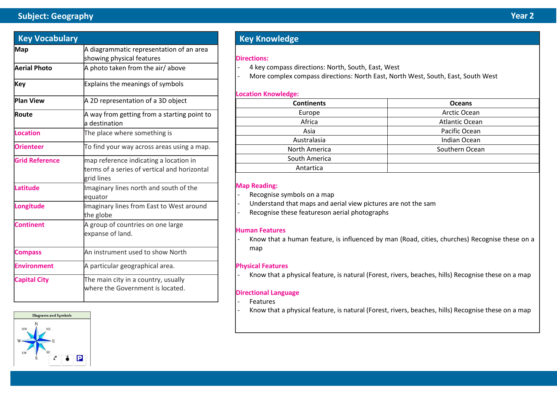# **Subject: Geography Year 2**

| <b>Key Vocabulary</b> |                                                                                                      |  |  |
|-----------------------|------------------------------------------------------------------------------------------------------|--|--|
| <b>Map</b>            | A diagrammatic representation of an area<br>showing physical features                                |  |  |
| <b>Aerial Photo</b>   | A photo taken from the air/above                                                                     |  |  |
| Key                   | <b>Explains the meanings of symbols</b>                                                              |  |  |
| <b>Plan View</b>      | A 2D representation of a 3D object                                                                   |  |  |
| Route                 | A way from getting from a starting point to<br>a destination                                         |  |  |
| Location              | The place where something is                                                                         |  |  |
| <b>Orienteer</b>      | To find your way across areas using a map.                                                           |  |  |
| <b>Grid Reference</b> | map reference indicating a location in<br>terms of a series of vertical and horizontal<br>grid lines |  |  |
| Latitude              | Imaginary lines north and south of the<br>equator                                                    |  |  |
| Longitude             | Imaginary lines from East to West around<br>the globe                                                |  |  |
| <b>Continent</b>      | A group of countries on one large<br>expanse of land.                                                |  |  |
| <b>Compass</b>        | An instrument used to show North                                                                     |  |  |
| <b>Environment</b>    | A particular geographical area.                                                                      |  |  |
| <b>Capital City</b>   | The main city in a country, usually<br>where the Government is located.                              |  |  |



# **Key Knowledge**

#### **Directions:**

- 4 key compass directions: North, South, East, West
- More complex compass directions: North East, North West, South, East, South West

### **Location Knowledge:**

| <b>Continents</b> | <b>Oceans</b>  |  |  |
|-------------------|----------------|--|--|
| Europe            | Arctic Ocean   |  |  |
| Africa            | Atlantic Ocean |  |  |
| Asia              | Pacific Ocean  |  |  |
| Australasia       | Indian Ocean   |  |  |
| North America     | Southern Ocean |  |  |
| South America     |                |  |  |
| Antartica         |                |  |  |

### **Map Reading:**

- Recognise symbols on a map
- Understand that maps and aerial view pictures are not the sam
- Recognise these featureson aerial photographs

### **Human Features**

- Know that a human feature, is influenced by man (Road, cities, churches) Recognise these on a map

### **Physical Features**

- Know that a physical feature, is natural (Forest, rivers, beaches, hills) Recognise these on a map

### **Directional Language**

- **Features**
- Know that a physical feature, is natural (Forest, rivers, beaches, hills) Recognise these on a map